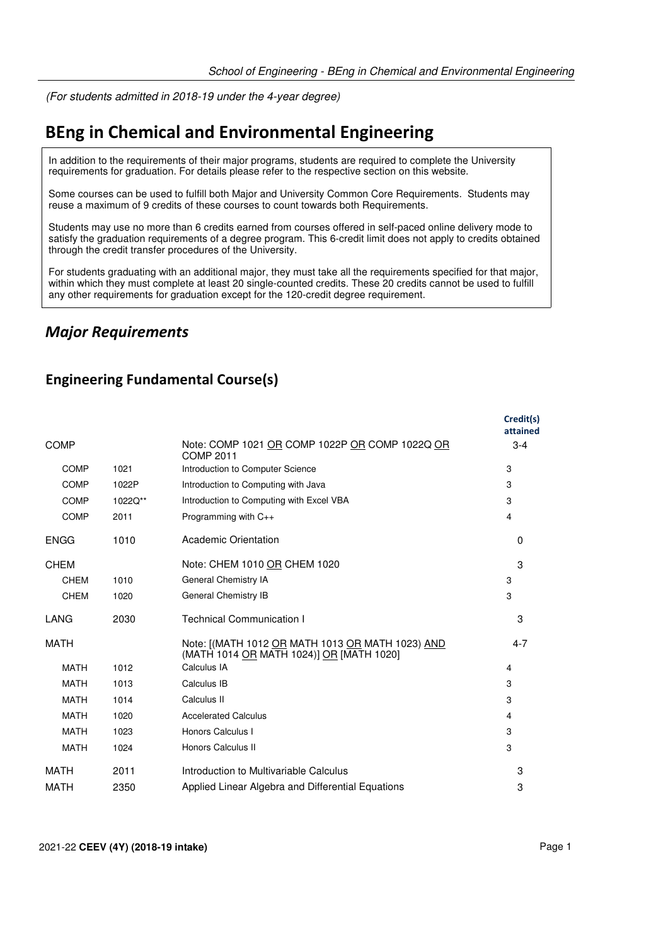(For students admitted in 2018-19 under the 4-year degree)

# **BEng in Chemical and Environmental Engineering**

In addition to the requirements of their major programs, students are required to complete the University requirements for graduation. For details please refer to the respective section on this website.

Some courses can be used to fulfill both Major and University Common Core Requirements. Students may reuse a maximum of 9 credits of these courses to count towards both Requirements.

Students may use no more than 6 credits earned from courses offered in self-paced online delivery mode to satisfy the graduation requirements of a degree program. This 6-credit limit does not apply to credits obtained through the credit transfer procedures of the University.

For students graduating with an additional major, they must take all the requirements specified for that major, within which they must complete at least 20 single-counted credits. These 20 credits cannot be used to fulfill any other requirements for graduation except for the 120-credit degree requirement.

#### *Major Requirements*

#### **Engineering Fundamental Course(s)**

|             |         |                                                                                              | Credit(s)<br>attained |
|-------------|---------|----------------------------------------------------------------------------------------------|-----------------------|
| <b>COMP</b> |         | Note: COMP 1021 OR COMP 1022P OR COMP 1022Q OR<br>COMP 2011                                  | $3 - 4$               |
| <b>COMP</b> | 1021    | Introduction to Computer Science                                                             | 3                     |
| <b>COMP</b> | 1022P   | Introduction to Computing with Java                                                          | 3                     |
| <b>COMP</b> | 1022Q** | Introduction to Computing with Excel VBA                                                     | 3                     |
| <b>COMP</b> | 2011    | Programming with C++                                                                         | 4                     |
| <b>ENGG</b> | 1010    | Academic Orientation                                                                         | $\Omega$              |
| <b>CHEM</b> |         | Note: CHEM 1010 OR CHEM 1020                                                                 | 3                     |
| <b>CHEM</b> | 1010    | General Chemistry IA                                                                         | 3                     |
| <b>CHEM</b> | 1020    | General Chemistry IB                                                                         | 3                     |
| LANG        | 2030    | <b>Technical Communication I</b>                                                             | 3                     |
| <b>MATH</b> |         | Note: [(MATH 1012 OR MATH 1013 OR MATH 1023) AND<br>(MATH 1014 OR MATH 1024)] OR [MATH 1020] | $4 - 7$               |
| <b>MATH</b> | 1012    | Calculus IA                                                                                  | 4                     |
| <b>MATH</b> | 1013    | Calculus IB                                                                                  | 3                     |
| <b>MATH</b> | 1014    | Calculus II                                                                                  | 3                     |
| <b>MATH</b> | 1020    | <b>Accelerated Calculus</b>                                                                  | 4                     |
| <b>MATH</b> | 1023    | Honors Calculus I                                                                            | 3                     |
| <b>MATH</b> | 1024    | Honors Calculus II                                                                           | 3                     |
| MATH        | 2011    | Introduction to Multivariable Calculus                                                       | 3                     |
| <b>MATH</b> | 2350    | Applied Linear Algebra and Differential Equations                                            | 3                     |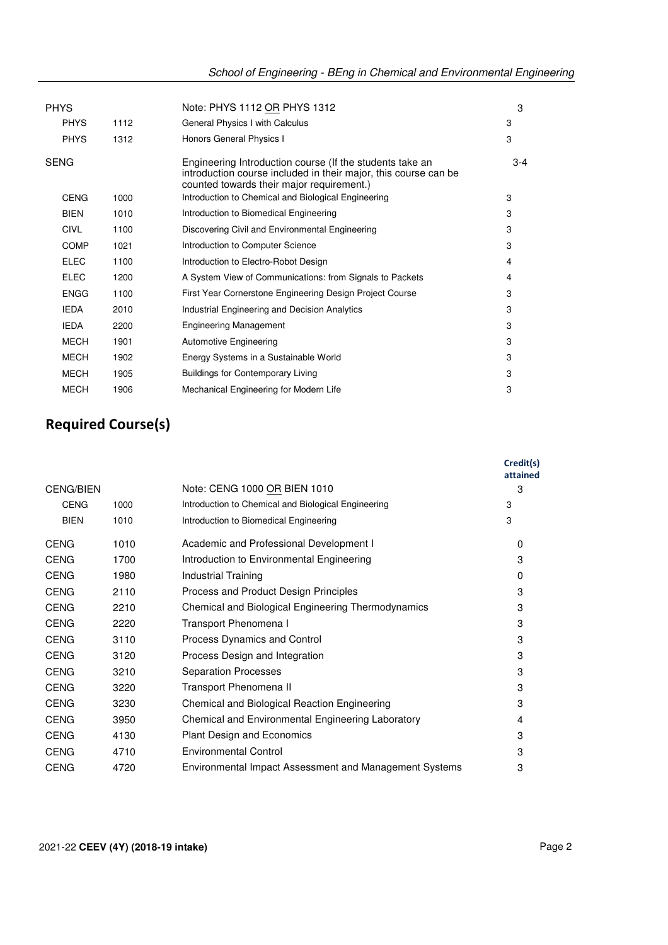| <b>PHYS</b> |      | Note: PHYS 1112 OR PHYS 1312                                                                                                                                             | 3     |
|-------------|------|--------------------------------------------------------------------------------------------------------------------------------------------------------------------------|-------|
| <b>PHYS</b> | 1112 | General Physics I with Calculus                                                                                                                                          | 3     |
| <b>PHYS</b> | 1312 | Honors General Physics I                                                                                                                                                 | 3     |
| <b>SENG</b> |      | Engineering Introduction course (If the students take an<br>introduction course included in their major, this course can be<br>counted towards their major requirement.) | $3-4$ |
| <b>CENG</b> | 1000 | Introduction to Chemical and Biological Engineering                                                                                                                      | 3     |
| <b>BIEN</b> | 1010 | Introduction to Biomedical Engineering                                                                                                                                   | 3     |
| <b>CIVL</b> | 1100 | Discovering Civil and Environmental Engineering                                                                                                                          | 3     |
| <b>COMP</b> | 1021 | Introduction to Computer Science                                                                                                                                         | 3     |
| <b>ELEC</b> | 1100 | Introduction to Electro-Robot Design                                                                                                                                     | 4     |
| ELEC        | 1200 | A System View of Communications: from Signals to Packets                                                                                                                 | 4     |
| <b>ENGG</b> | 1100 | First Year Cornerstone Engineering Design Project Course                                                                                                                 | 3     |
| <b>IEDA</b> | 2010 | Industrial Engineering and Decision Analytics                                                                                                                            | 3     |
| <b>IEDA</b> | 2200 | <b>Engineering Management</b>                                                                                                                                            | 3     |
| <b>MECH</b> | 1901 | <b>Automotive Engineering</b>                                                                                                                                            | 3     |
| <b>MECH</b> | 1902 | Energy Systems in a Sustainable World                                                                                                                                    | 3     |
| <b>MECH</b> | 1905 | <b>Buildings for Contemporary Living</b>                                                                                                                                 | 3     |
| MECH        | 1906 | Mechanical Engineering for Modern Life                                                                                                                                   | 3     |
|             |      |                                                                                                                                                                          |       |

## **Required Course(s)**

|                  |      |                                                        | Credit(s)<br>attained |
|------------------|------|--------------------------------------------------------|-----------------------|
| <b>CENG/BIEN</b> |      | Note: CENG 1000 OR BIEN 1010                           | 3                     |
| <b>CENG</b>      | 1000 | Introduction to Chemical and Biological Engineering    | 3                     |
| <b>BIEN</b>      | 1010 | Introduction to Biomedical Engineering                 | 3                     |
| <b>CENG</b>      | 1010 | Academic and Professional Development I                | $\Omega$              |
| <b>CENG</b>      | 1700 | Introduction to Environmental Engineering              | 3                     |
| <b>CENG</b>      | 1980 | Industrial Training                                    | $\Omega$              |
| <b>CENG</b>      | 2110 | Process and Product Design Principles                  | 3                     |
| <b>CENG</b>      | 2210 | Chemical and Biological Engineering Thermodynamics     | 3                     |
| <b>CENG</b>      | 2220 | Transport Phenomena I                                  | 3                     |
| <b>CENG</b>      | 3110 | Process Dynamics and Control                           | 3                     |
| <b>CENG</b>      | 3120 | Process Design and Integration                         | 3                     |
| <b>CENG</b>      | 3210 | <b>Separation Processes</b>                            | 3                     |
| <b>CENG</b>      | 3220 | Transport Phenomena II                                 | 3                     |
| <b>CENG</b>      | 3230 | Chemical and Biological Reaction Engineering           | 3                     |
| <b>CENG</b>      | 3950 | Chemical and Environmental Engineering Laboratory      | 4                     |
| <b>CENG</b>      | 4130 | Plant Design and Economics                             | 3                     |
| <b>CENG</b>      | 4710 | <b>Environmental Control</b>                           | 3                     |
| <b>CENG</b>      | 4720 | Environmental Impact Assessment and Management Systems | 3                     |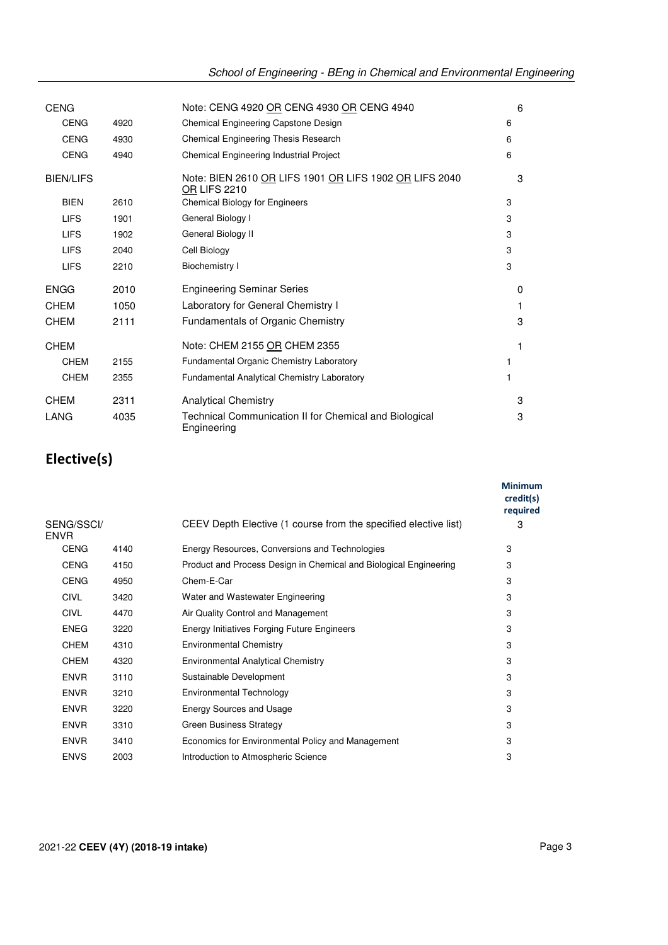| <b>CENG</b>      |      | Note: CENG 4920 OR CENG 4930 OR CENG 4940                                     | 6        |
|------------------|------|-------------------------------------------------------------------------------|----------|
| <b>CENG</b>      | 4920 | Chemical Engineering Capstone Design                                          | 6        |
| <b>CENG</b>      | 4930 | Chemical Engineering Thesis Research                                          | 6        |
| <b>CENG</b>      | 4940 | Chemical Engineering Industrial Project                                       | 6        |
| <b>BIEN/LIFS</b> |      | Note: BIEN 2610 OR LIFS 1901 OR LIFS 1902 OR LIFS 2040<br><b>OR LIFS 2210</b> | 3        |
| <b>BIEN</b>      | 2610 | <b>Chemical Biology for Engineers</b>                                         | 3        |
| <b>LIFS</b>      | 1901 | General Biology I                                                             | 3        |
| <b>LIFS</b>      | 1902 | General Biology II                                                            | 3        |
| <b>LIFS</b>      | 2040 | Cell Biology                                                                  | 3        |
| <b>LIFS</b>      | 2210 | <b>Biochemistry I</b>                                                         | 3        |
| <b>ENGG</b>      | 2010 | <b>Engineering Seminar Series</b>                                             | $\Omega$ |
| <b>CHEM</b>      | 1050 | Laboratory for General Chemistry I                                            | 1        |
| <b>CHEM</b>      | 2111 | Fundamentals of Organic Chemistry                                             | 3        |
| CHEM             |      | Note: CHEM 2155 OR CHEM 2355                                                  | 1        |
| <b>CHEM</b>      | 2155 | Fundamental Organic Chemistry Laboratory                                      |          |
| <b>CHEM</b>      | 2355 | <b>Fundamental Analytical Chemistry Laboratory</b>                            | 1        |
| <b>CHEM</b>      | 2311 | <b>Analytical Chemistry</b>                                                   | 3        |
| LANG             | 4035 | Technical Communication II for Chemical and Biological<br>Engineering         | 3        |

## **Elective(s)**

|                           |      |                                                                   | <b>Minimum</b><br>credit(s)<br>required |
|---------------------------|------|-------------------------------------------------------------------|-----------------------------------------|
| SENG/SSCI/<br><b>ENVR</b> |      | CEEV Depth Elective (1 course from the specified elective list)   | 3                                       |
| <b>CENG</b>               | 4140 | Energy Resources, Conversions and Technologies                    | 3                                       |
| <b>CENG</b>               | 4150 | Product and Process Design in Chemical and Biological Engineering | 3                                       |
| <b>CENG</b>               | 4950 | Chem-E-Car                                                        | 3                                       |
| CIVL                      | 3420 | Water and Wastewater Engineering                                  | 3                                       |
| <b>CIVL</b>               | 4470 | Air Quality Control and Management                                | 3                                       |
| <b>ENEG</b>               | 3220 | Energy Initiatives Forging Future Engineers                       | 3                                       |
| <b>CHEM</b>               | 4310 | <b>Environmental Chemistry</b>                                    | 3                                       |
| <b>CHEM</b>               | 4320 | <b>Environmental Analytical Chemistry</b>                         | 3                                       |
| <b>ENVR</b>               | 3110 | Sustainable Development                                           | 3                                       |
| <b>ENVR</b>               | 3210 | Environmental Technology                                          | 3                                       |
| <b>ENVR</b>               | 3220 | <b>Energy Sources and Usage</b>                                   | 3                                       |
| <b>ENVR</b>               | 3310 | <b>Green Business Strategy</b>                                    | 3                                       |
| <b>ENVR</b>               | 3410 | Economics for Environmental Policy and Management                 | 3                                       |
| <b>ENVS</b>               | 2003 | Introduction to Atmospheric Science                               | 3                                       |